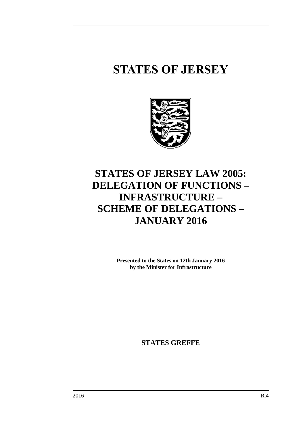# **STATES OF JERSEY**



# **STATES OF JERSEY LAW 2005: DELEGATION OF FUNCTIONS – INFRASTRUCTURE – SCHEME OF DELEGATIONS – JANUARY 2016**

**Presented to the States on 12th January 2016 by the Minister for Infrastructure**

**STATES GREFFE**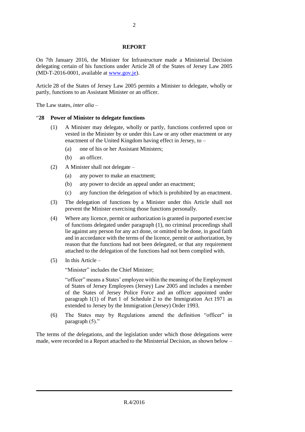#### **REPORT**

On 7th January 2016, the Minister for Infrastructure made a Ministerial Decision delegating certain of his functions under Article 28 of the States of Jersey Law 2005 (MD-T-2016-0001, available at [www.gov.je\)](http://www.gov.je/).

Article 28 of the States of Jersey Law 2005 permits a Minister to delegate, wholly or partly, functions to an Assistant Minister or an officer.

The Law states, *inter alia* –

#### "**28 Power of Minister to delegate functions**

- (1) A Minister may delegate, wholly or partly, functions conferred upon or vested in the Minister by or under this Law or any other enactment or any enactment of the United Kingdom having effect in Jersey, to –
	- (a) one of his or her Assistant Ministers;
	- (b) an officer.
- (2) A Minister shall not delegate
	- (a) any power to make an enactment;
	- (b) any power to decide an appeal under an enactment;
	- (c) any function the delegation of which is prohibited by an enactment.
- (3) The delegation of functions by a Minister under this Article shall not prevent the Minister exercising those functions personally.
- (4) Where any licence, permit or authorization is granted in purported exercise of functions delegated under paragraph (1), no criminal proceedings shall lie against any person for any act done, or omitted to be done, in good faith and in accordance with the terms of the licence, permit or authorization, by reason that the functions had not been delegated, or that any requirement attached to the delegation of the functions had not been complied with.
- (5) In this Article –

"Minister" includes the Chief Minister;

"officer" means a States' employee within the meaning of the Employment of States of Jersey Employees (Jersey) Law 2005 and includes a member of the States of Jersey Police Force and an officer appointed under paragraph 1(1) of Part 1 of Schedule 2 to the Immigration Act 1971 as extended to Jersey by the Immigration (Jersey) Order 1993.

(6) The States may by Regulations amend the definition "officer" in paragraph (5)."

The terms of the delegations, and the legislation under which those delegations were made, were recorded in a Report attached to the Ministerial Decision, as shown below –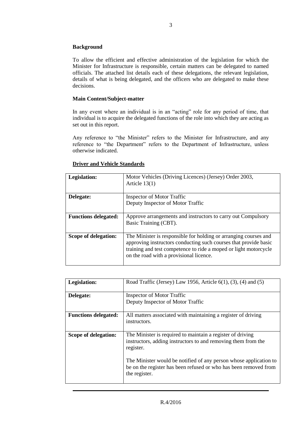#### **Background**

To allow the efficient and effective administration of the legislation for which the Minister for Infrastructure is responsible, certain matters can be delegated to named officials. The attached list details each of these delegations, the relevant legislation, details of what is being delegated, and the officers who are delegated to make these decisions.

#### **Main Content/Subject-matter**

In any event where an individual is in an "acting" role for any period of time, that individual is to acquire the delegated functions of the role into which they are acting as set out in this report.

Any reference to "the Minister" refers to the Minister for Infrastructure, and any reference to "the Department" refers to the Department of Infrastructure, unless otherwise indicated.

| Legislation:                | Motor Vehicles (Driving Licences) (Jersey) Order 2003,<br>Article $13(1)$                                                                                                                                                                           |
|-----------------------------|-----------------------------------------------------------------------------------------------------------------------------------------------------------------------------------------------------------------------------------------------------|
| Delegate:                   | Inspector of Motor Traffic                                                                                                                                                                                                                          |
|                             | Deputy Inspector of Motor Traffic                                                                                                                                                                                                                   |
| <b>Functions delegated:</b> | Approve arrangements and instructors to carry out Compulsory<br>Basic Training (CBT).                                                                                                                                                               |
| Scope of delegation:        | The Minister is responsible for holding or arranging courses and<br>approving instructors conducting such courses that provide basic<br>training and test competence to ride a moped or light motorcycle<br>on the road with a provisional licence. |

#### **Driver and Vehicle Standards**

| Legislation:                | Road Traffic (Jersey) Law 1956, Article $6(1)$ , $(3)$ , $(4)$ and $(5)$                                                                                                                                                                                                                           |
|-----------------------------|----------------------------------------------------------------------------------------------------------------------------------------------------------------------------------------------------------------------------------------------------------------------------------------------------|
| Delegate:                   | Inspector of Motor Traffic                                                                                                                                                                                                                                                                         |
|                             | Deputy Inspector of Motor Traffic                                                                                                                                                                                                                                                                  |
| <b>Functions delegated:</b> | All matters associated with maintaining a register of driving<br>instructors.                                                                                                                                                                                                                      |
| Scope of delegation:        | The Minister is required to maintain a register of driving<br>instructors, adding instructors to and removing them from the<br>register.<br>The Minister would be notified of any person whose application to<br>be on the register has been refused or who has been removed from<br>the register. |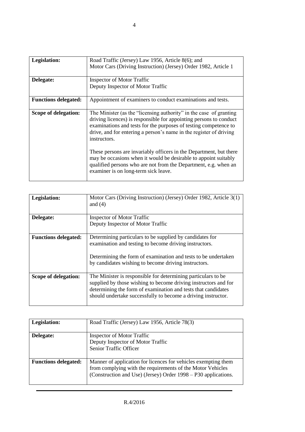| <b>Legislation:</b><br>Delegate: | Road Traffic (Jersey) Law 1956, Article 8(6); and<br>Motor Cars (Driving Instruction) (Jersey) Order 1982, Article 1<br><b>Inspector of Motor Traffic</b><br>Deputy Inspector of Motor Traffic                                                                                                                                                                                                                                                                                                                                                         |
|----------------------------------|--------------------------------------------------------------------------------------------------------------------------------------------------------------------------------------------------------------------------------------------------------------------------------------------------------------------------------------------------------------------------------------------------------------------------------------------------------------------------------------------------------------------------------------------------------|
| <b>Functions delegated:</b>      | Appointment of examiners to conduct examinations and tests.                                                                                                                                                                                                                                                                                                                                                                                                                                                                                            |
| Scope of delegation:             | The Minister (as the "licensing authority" in the case of granting<br>driving licences) is responsible for appointing persons to conduct<br>examinations and tests for the purposes of testing competence to<br>drive, and for entering a person's name in the register of driving<br>instructors.<br>These persons are invariably officers in the Department, but there<br>may be occasions when it would be desirable to appoint suitably<br>qualified persons who are not from the Department, e.g. when an<br>examiner is on long-term sick leave. |

| Legislation:                | Motor Cars (Driving Instruction) (Jersey) Order 1982, Article 3(1)<br>and $(4)$ |
|-----------------------------|---------------------------------------------------------------------------------|
| Delegate:                   | <b>Inspector of Motor Traffic</b>                                               |
|                             | Deputy Inspector of Motor Traffic                                               |
| <b>Functions delegated:</b> | Determining particulars to be supplied by candidates for                        |
|                             | examination and testing to become driving instructors.                          |
|                             | Determining the form of examination and tests to be undertaken                  |
|                             | by candidates wishing to become driving instructors.                            |
| Scope of delegation:        | The Minister is responsible for determining particulars to be                   |
|                             | supplied by those wishing to become driving instructors and for                 |
|                             | determining the form of examination and tests that candidates                   |
|                             | should undertake successfully to become a driving instructor.                   |

| Legislation:                | Road Traffic (Jersey) Law 1956, Article 78(3)                                                                                                                                                  |
|-----------------------------|------------------------------------------------------------------------------------------------------------------------------------------------------------------------------------------------|
| Delegate:                   | <b>Inspector of Motor Traffic</b><br>Deputy Inspector of Motor Traffic<br>Senior Traffic Officer                                                                                               |
| <b>Functions delegated:</b> | Manner of application for licences for vehicles exempting them<br>from complying with the requirements of the Motor Vehicles<br>(Construction and Use) (Jersey) Order 1998 – P30 applications. |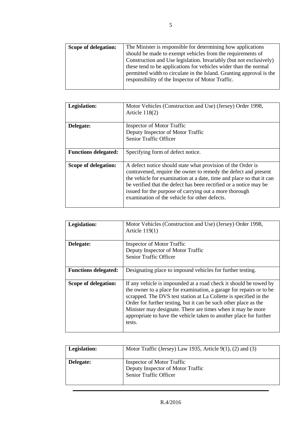| Scope of delegation: | The Minister is responsible for determining how applications         |
|----------------------|----------------------------------------------------------------------|
|                      | should be made to exempt vehicles from the requirements of           |
|                      | Construction and Use legislation. Invariably (but not exclusively)   |
|                      | these tend to be applications for vehicles wider than the normal     |
|                      | permitted width to circulate in the Island. Granting approval is the |
|                      | responsibility of the Inspector of Motor Traffic.                    |
|                      |                                                                      |

| Legislation:                | Motor Vehicles (Construction and Use) (Jersey) Order 1998,<br>Article $118(2)$                                                                                                                                                                                                                                                                                                         |
|-----------------------------|----------------------------------------------------------------------------------------------------------------------------------------------------------------------------------------------------------------------------------------------------------------------------------------------------------------------------------------------------------------------------------------|
| Delegate:                   | Inspector of Motor Traffic<br>Deputy Inspector of Motor Traffic<br>Senior Traffic Officer                                                                                                                                                                                                                                                                                              |
| <b>Functions delegated:</b> | Specifying form of defect notice.                                                                                                                                                                                                                                                                                                                                                      |
| Scope of delegation:        | A defect notice should state what provision of the Order is<br>contravened, require the owner to remedy the defect and present<br>the vehicle for examination at a date, time and place so that it can<br>be verified that the defect has been rectified or a notice may be<br>issued for the purpose of carrying out a more thorough<br>examination of the vehicle for other defects. |

| Legislation:                | Motor Vehicles (Construction and Use) (Jersey) Order 1998,<br>Article $119(1)$                                                                                                                                                                                                                                                                                                                                                   |
|-----------------------------|----------------------------------------------------------------------------------------------------------------------------------------------------------------------------------------------------------------------------------------------------------------------------------------------------------------------------------------------------------------------------------------------------------------------------------|
| Delegate:                   | Inspector of Motor Traffic<br>Deputy Inspector of Motor Traffic<br>Senior Traffic Officer                                                                                                                                                                                                                                                                                                                                        |
| <b>Functions delegated:</b> | Designating place to impound vehicles for further testing.                                                                                                                                                                                                                                                                                                                                                                       |
| Scope of delegation:        | If any vehicle is impounded at a road check it should be towed by<br>the owner to a place for examination, a garage for repairs or to be<br>scrapped. The DVS test station at La Collette is specified in the<br>Order for further testing, but it can be such other place as the<br>Minister may designate. There are times when it may be more<br>appropriate to have the vehicle taken to another place for further<br>tests. |

| Legislation: | Motor Traffic (Jersey) Law 1935, Article $9(1)$ , (2) and (3)                             |
|--------------|-------------------------------------------------------------------------------------------|
| Delegate:    | Inspector of Motor Traffic<br>Deputy Inspector of Motor Traffic<br>Senior Traffic Officer |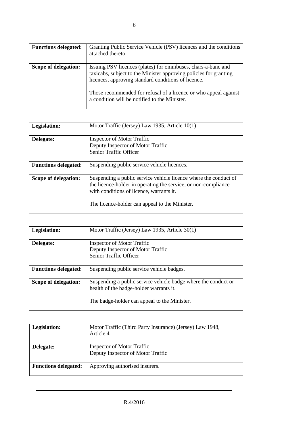| <b>Functions delegated:</b> | Granting Public Service Vehicle (PSV) licences and the conditions<br>attached thereto.                                                                                                                                                                                                                         |
|-----------------------------|----------------------------------------------------------------------------------------------------------------------------------------------------------------------------------------------------------------------------------------------------------------------------------------------------------------|
| Scope of delegation:        | Issuing PSV licences (plates) for omnibuses, chars-a-banc and<br>taxicabs, subject to the Minister approving policies for granting<br>licences, approving standard conditions of licence.<br>Those recommended for refusal of a licence or who appeal against<br>a condition will be notified to the Minister. |

| Legislation:                | Motor Traffic (Jersey) Law 1935, Article 10(1)                                                                                                                                                                                   |
|-----------------------------|----------------------------------------------------------------------------------------------------------------------------------------------------------------------------------------------------------------------------------|
| Delegate:                   | Inspector of Motor Traffic<br>Deputy Inspector of Motor Traffic<br><b>Senior Traffic Officer</b>                                                                                                                                 |
| <b>Functions delegated:</b> | Suspending public service vehicle licences.                                                                                                                                                                                      |
| Scope of delegation:        | Suspending a public service vehicle licence where the conduct of<br>the licence-holder in operating the service, or non-compliance<br>with conditions of licence, warrants it.<br>The licence-holder can appeal to the Minister. |

| Legislation:                | Motor Traffic (Jersey) Law 1935, Article 30(1)                                                                                                            |
|-----------------------------|-----------------------------------------------------------------------------------------------------------------------------------------------------------|
| Delegate:                   | Inspector of Motor Traffic<br>Deputy Inspector of Motor Traffic<br><b>Senior Traffic Officer</b>                                                          |
| <b>Functions delegated:</b> | Suspending public service vehicle badges.                                                                                                                 |
| Scope of delegation:        | Suspending a public service vehicle badge where the conduct or<br>health of the badge-holder warrants it.<br>The badge-holder can appeal to the Minister. |

| Legislation:                | Motor Traffic (Third Party Insurance) (Jersey) Law 1948,<br>Article 4 |
|-----------------------------|-----------------------------------------------------------------------|
| Delegate:                   | Inspector of Motor Traffic<br>Deputy Inspector of Motor Traffic       |
| <b>Functions delegated:</b> | Approving authorised insurers.                                        |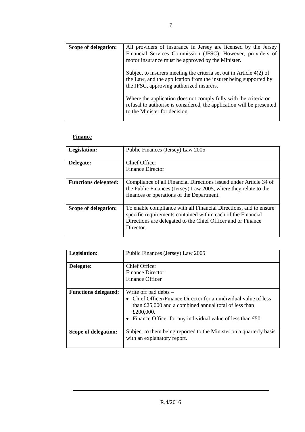| Scope of delegation: | All providers of insurance in Jersey are licensed by the Jersey<br>Financial Services Commission (JFSC). However, providers of<br>motor insurance must be approved by the Minister.   |
|----------------------|---------------------------------------------------------------------------------------------------------------------------------------------------------------------------------------|
|                      | Subject to insurers meeting the criteria set out in Article $4(2)$ of<br>the Law, and the application from the insurer being supported by<br>the JFSC, approving authorized insurers. |
|                      | Where the application does not comply fully with the criteria or<br>refusal to authorise is considered, the application will be presented<br>to the Minister for decision.            |

## **Finance**

| Legislation:                | Public Finances (Jersey) Law 2005                                                                                                                                                                              |
|-----------------------------|----------------------------------------------------------------------------------------------------------------------------------------------------------------------------------------------------------------|
| Delegate:                   | Chief Officer<br><b>Finance Director</b>                                                                                                                                                                       |
| <b>Functions delegated:</b> | Compliance of all Financial Directions issued under Article 34 of<br>the Public Finances (Jersey) Law 2005, where they relate to the<br>finances or operations of the Department.                              |
| Scope of delegation:        | To enable compliance with all Financial Directions, and to ensure<br>specific requirements contained within each of the Financial<br>Directions are delegated to the Chief Officer and or Finance<br>Director. |

| Legislation:                | Public Finances (Jersey) Law 2005                                                                                                                                                                                                              |
|-----------------------------|------------------------------------------------------------------------------------------------------------------------------------------------------------------------------------------------------------------------------------------------|
| Delegate:                   | <b>Chief Officer</b><br><b>Finance Director</b>                                                                                                                                                                                                |
|                             | Finance Officer                                                                                                                                                                                                                                |
| <b>Functions delegated:</b> | Write off bad debts $-$<br>• Chief Officer/Finance Director for an individual value of less<br>than $£25,000$ and a combined annual total of less than<br>£200,000.<br>Finance Officer for any individual value of less than £50.<br>$\bullet$ |
| Scope of delegation:        | Subject to them being reported to the Minister on a quarterly basis<br>with an explanatory report.                                                                                                                                             |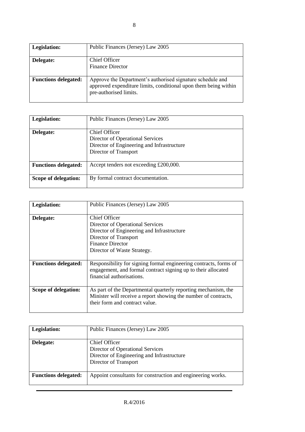| Legislation:                | Public Finances (Jersey) Law 2005                                                                                                                       |
|-----------------------------|---------------------------------------------------------------------------------------------------------------------------------------------------------|
| Delegate:                   | Chief Officer<br><b>Finance Director</b>                                                                                                                |
| <b>Functions delegated:</b> | Approve the Department's authorised signature schedule and<br>approved expenditure limits, conditional upon them being within<br>pre-authorised limits. |

| Legislation:                | Public Finances (Jersey) Law 2005                                                                                        |
|-----------------------------|--------------------------------------------------------------------------------------------------------------------------|
| Delegate:                   | Chief Officer<br>Director of Operational Services<br>Director of Engineering and Infrastructure<br>Director of Transport |
| <b>Functions delegated:</b> | Accept tenders not exceeding £200,000.                                                                                   |
| Scope of delegation:        | By formal contract documentation.                                                                                        |

| Legislation:                | Public Finances (Jersey) Law 2005                                                                                                                                                  |
|-----------------------------|------------------------------------------------------------------------------------------------------------------------------------------------------------------------------------|
| Delegate:                   | Chief Officer<br>Director of Operational Services<br>Director of Engineering and Infrastructure<br>Director of Transport<br><b>Finance Director</b><br>Director of Waste Strategy. |
| <b>Functions delegated:</b> | Responsibility for signing formal engineering contracts, forms of<br>engagement, and formal contract signing up to their allocated<br>financial authorisations.                    |
| Scope of delegation:        | As part of the Departmental quarterly reporting mechanism, the<br>Minister will receive a report showing the number of contracts,<br>their form and contract value.                |

| Legislation:                | Public Finances (Jersey) Law 2005                                                                                        |
|-----------------------------|--------------------------------------------------------------------------------------------------------------------------|
| Delegate:                   | Chief Officer<br>Director of Operational Services<br>Director of Engineering and Infrastructure<br>Director of Transport |
| <b>Functions delegated:</b> | Appoint consultants for construction and engineering works.                                                              |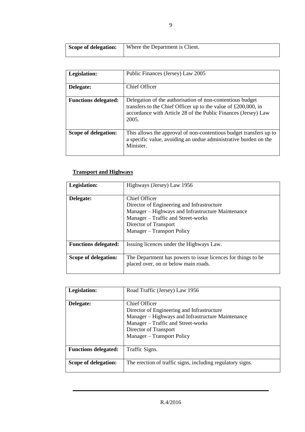| Scope of delegation: | Where the Department is Client. |
|----------------------|---------------------------------|
|                      |                                 |

| Legislation:                | Public Finances (Jersey) Law 2005                                                                                                                                                                         |
|-----------------------------|-----------------------------------------------------------------------------------------------------------------------------------------------------------------------------------------------------------|
|                             |                                                                                                                                                                                                           |
| Delegate:                   | Chief Officer                                                                                                                                                                                             |
|                             |                                                                                                                                                                                                           |
| <b>Functions delegated:</b> | Delegation of the authorisation of non-contentious budget<br>transfers to the Chief Officer up to the value of $£200,000$ , in<br>accordance with Article 28 of the Public Finances (Jersey) Law<br>2005. |
| Scope of delegation:        | This allows the approval of non-contentious budget transfers up to<br>a specific value, avoiding an undue administrative burden on the<br>Minister.                                                       |

# **Transport and Highways**

| Legislation:                | Highways (Jersey) Law 1956                                                                                                                                                                                    |
|-----------------------------|---------------------------------------------------------------------------------------------------------------------------------------------------------------------------------------------------------------|
| Delegate:                   | Chief Officer<br>Director of Engineering and Infrastructure<br>Manager – Highways and Infrastructure Maintenance<br>Manager - Traffic and Street-works<br>Director of Transport<br>Manager – Transport Policy |
| <b>Functions delegated:</b> | Issuing licences under the Highways Law.                                                                                                                                                                      |
| Scope of delegation:        | The Department has powers to issue licences for things to be.<br>placed over, on or below main roads.                                                                                                         |

| Legislation:                | Road Traffic (Jersey) Law 1956                                                                                                                                                                                |
|-----------------------------|---------------------------------------------------------------------------------------------------------------------------------------------------------------------------------------------------------------|
| Delegate:                   | Chief Officer<br>Director of Engineering and Infrastructure<br>Manager – Highways and Infrastructure Maintenance<br>Manager – Traffic and Street-works<br>Director of Transport<br>Manager – Transport Policy |
| <b>Functions delegated:</b> | Traffic Signs.                                                                                                                                                                                                |
| Scope of delegation:        | The erection of traffic signs, including regulatory signs.                                                                                                                                                    |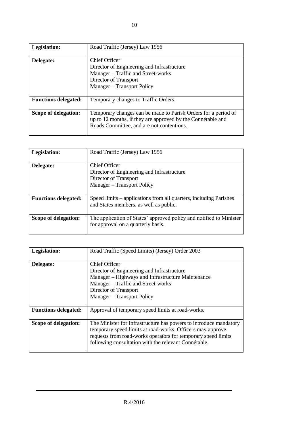| Legislation:                | Road Traffic (Jersey) Law 1956                                                                                                                                             |
|-----------------------------|----------------------------------------------------------------------------------------------------------------------------------------------------------------------------|
| Delegate:                   | Chief Officer<br>Director of Engineering and Infrastructure<br>Manager – Traffic and Street-works<br>Director of Transport<br>Manager - Transport Policy                   |
| <b>Functions delegated:</b> | Temporary changes to Traffic Orders.                                                                                                                                       |
| Scope of delegation:        | Temporary changes can be made to Parish Orders for a period of<br>up to 12 months, if they are approved by the Connétable and<br>Roads Committee, and are not contentious. |

| Legislation:                | Road Traffic (Jersey) Law 1956                                                                                     |
|-----------------------------|--------------------------------------------------------------------------------------------------------------------|
| Delegate:                   | Chief Officer<br>Director of Engineering and Infrastructure<br>Director of Transport<br>Manager - Transport Policy |
| <b>Functions delegated:</b> | Speed limits – applications from all quarters, including Parishes<br>and States members, as well as public.        |
| Scope of delegation:        | The application of States' approved policy and notified to Minister<br>for approval on a quarterly basis.          |

| Legislation:                | Road Traffic (Speed Limits) (Jersey) Order 2003                                                                                                                                                                                                          |
|-----------------------------|----------------------------------------------------------------------------------------------------------------------------------------------------------------------------------------------------------------------------------------------------------|
| Delegate:                   | <b>Chief Officer</b><br>Director of Engineering and Infrastructure<br>Manager – Highways and Infrastructure Maintenance<br>Manager – Traffic and Street-works<br>Director of Transport<br>Manager – Transport Policy                                     |
| <b>Functions delegated:</b> | Approval of temporary speed limits at road-works.                                                                                                                                                                                                        |
| Scope of delegation:        | The Minister for Infrastructure has powers to introduce mandatory<br>temporary speed limits at road-works. Officers may approve<br>requests from road-works operators for temporary speed limits<br>following consultation with the relevant Connétable. |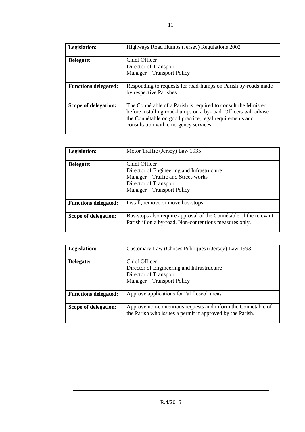| Legislation:                | Highways Road Humps (Jersey) Regulations 2002                                                                                                                                                                                        |
|-----------------------------|--------------------------------------------------------------------------------------------------------------------------------------------------------------------------------------------------------------------------------------|
| Delegate:                   | Chief Officer<br>Director of Transport<br>Manager – Transport Policy                                                                                                                                                                 |
| <b>Functions delegated:</b> | Responding to requests for road-humps on Parish by-roads made<br>by respective Parishes.                                                                                                                                             |
| Scope of delegation:        | The Connétable of a Parish is required to consult the Minister<br>before installing road-humps on a by-road. Officers will advise<br>the Connétable on good practice, legal requirements and<br>consultation with emergency services |

| Legislation:                | Motor Traffic (Jersey) Law 1935                                                                                                                          |
|-----------------------------|----------------------------------------------------------------------------------------------------------------------------------------------------------|
| Delegate:                   | Chief Officer<br>Director of Engineering and Infrastructure<br>Manager – Traffic and Street-works<br>Director of Transport<br>Manager – Transport Policy |
| <b>Functions delegated:</b> | Install, remove or move bus-stops.                                                                                                                       |
| Scope of delegation:        | Bus-stops also require approval of the Connétable of the relevant<br>Parish if on a by-road. Non-contentious measures only.                              |

| Legislation:                | Customary Law (Choses Publiques) (Jersey) Law 1993                                                                          |
|-----------------------------|-----------------------------------------------------------------------------------------------------------------------------|
| Delegate:                   | <b>Chief Officer</b><br>Director of Engineering and Infrastructure<br>Director of Transport<br>Manager - Transport Policy   |
| <b>Functions delegated:</b> | Approve applications for "al fresco" areas.                                                                                 |
| Scope of delegation:        | Approve non-contentious requests and inform the Connectable of<br>the Parish who issues a permit if approved by the Parish. |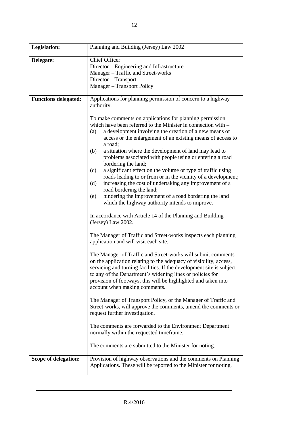| <b>Legislation:</b>         | Planning and Building (Jersey) Law 2002                                                                                                                                                                                                                                                                                                                                                                                                                                                                                                                                                                                                                                                                                                                                                                                                                                                                                                                                                                                                                                                                                                                                                                                                                                                                                                                                                                                                                                                                                                                                                                                                                                                               |
|-----------------------------|-------------------------------------------------------------------------------------------------------------------------------------------------------------------------------------------------------------------------------------------------------------------------------------------------------------------------------------------------------------------------------------------------------------------------------------------------------------------------------------------------------------------------------------------------------------------------------------------------------------------------------------------------------------------------------------------------------------------------------------------------------------------------------------------------------------------------------------------------------------------------------------------------------------------------------------------------------------------------------------------------------------------------------------------------------------------------------------------------------------------------------------------------------------------------------------------------------------------------------------------------------------------------------------------------------------------------------------------------------------------------------------------------------------------------------------------------------------------------------------------------------------------------------------------------------------------------------------------------------------------------------------------------------------------------------------------------------|
| Delegate:                   | <b>Chief Officer</b><br>Director – Engineering and Infrastructure<br>Manager - Traffic and Street-works<br>Director - Transport<br>Manager - Transport Policy                                                                                                                                                                                                                                                                                                                                                                                                                                                                                                                                                                                                                                                                                                                                                                                                                                                                                                                                                                                                                                                                                                                                                                                                                                                                                                                                                                                                                                                                                                                                         |
| <b>Functions delegated:</b> | Applications for planning permission of concern to a highway<br>authority.                                                                                                                                                                                                                                                                                                                                                                                                                                                                                                                                                                                                                                                                                                                                                                                                                                                                                                                                                                                                                                                                                                                                                                                                                                                                                                                                                                                                                                                                                                                                                                                                                            |
|                             | To make comments on applications for planning permission<br>which have been referred to the Minister in connection with –<br>a development involving the creation of a new means of<br>(a)<br>access or the enlargement of an existing means of access to<br>a road;<br>(b)<br>a situation where the development of land may lead to<br>problems associated with people using or entering a road<br>bordering the land;<br>a significant effect on the volume or type of traffic using<br>(c)<br>roads leading to or from or in the vicinity of a development;<br>increasing the cost of undertaking any improvement of a<br>(d)<br>road bordering the land;<br>hindering the improvement of a road bordering the land<br>(e)<br>which the highway authority intends to improve.<br>In accordance with Article 14 of the Planning and Building<br>(Jersey) Law 2002.<br>The Manager of Traffic and Street-works inspects each planning<br>application and will visit each site.<br>The Manager of Traffic and Street-works will submit comments<br>on the application relating to the adequacy of visibility, access,<br>servicing and turning facilities. If the development site is subject<br>to any of the Department's widening lines or policies for<br>provision of footways, this will be highlighted and taken into<br>account when making comments.<br>The Manager of Transport Policy, or the Manager of Traffic and<br>Street-works, will approve the comments, amend the comments or<br>request further investigation.<br>The comments are forwarded to the Environment Department<br>normally within the requested timeframe.<br>The comments are submitted to the Minister for noting. |
| Scope of delegation:        | Provision of highway observations and the comments on Planning<br>Applications. These will be reported to the Minister for noting.                                                                                                                                                                                                                                                                                                                                                                                                                                                                                                                                                                                                                                                                                                                                                                                                                                                                                                                                                                                                                                                                                                                                                                                                                                                                                                                                                                                                                                                                                                                                                                    |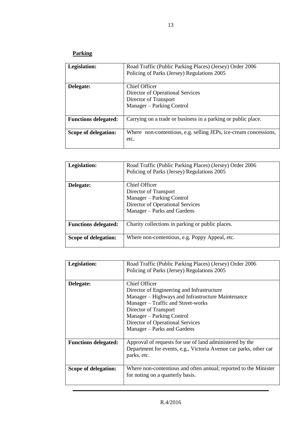# **Parking**

| Legislation:                | Road Traffic (Public Parking Places) (Jersey) Order 2006<br>Policing of Parks (Jersey) Regulations 2005 |
|-----------------------------|---------------------------------------------------------------------------------------------------------|
| Delegate:                   | Chief Officer<br>Director of Operational Services<br>Director of Transport<br>Manager – Parking Control |
| <b>Functions delegated:</b> | Carrying on a trade or business in a parking or public place.                                           |
| Scope of delegation:        | Where non-contentious, e.g. selling JEPs, ice-cream concessions,<br>etc.                                |

| Legislation:                | Road Traffic (Public Parking Places) (Jersey) Order 2006<br>Policing of Parks (Jersey) Regulations 2005 |
|-----------------------------|---------------------------------------------------------------------------------------------------------|
|                             |                                                                                                         |
| Delegate:                   | Chief Officer                                                                                           |
|                             | Director of Transport                                                                                   |
|                             | Manager – Parking Control                                                                               |
|                             | Director of Operational Services                                                                        |
|                             | Manager – Parks and Gardens                                                                             |
|                             |                                                                                                         |
| <b>Functions delegated:</b> | Charity collections in parking or public places.                                                        |
|                             |                                                                                                         |
| Scope of delegation:        | Where non-contentious, e.g. Poppy Appeal, etc.                                                          |
|                             |                                                                                                         |

| Legislation:                | Road Traffic (Public Parking Places) (Jersey) Order 2006<br>Policing of Parks (Jersey) Regulations 2005                                                                                                                                                                         |
|-----------------------------|---------------------------------------------------------------------------------------------------------------------------------------------------------------------------------------------------------------------------------------------------------------------------------|
| Delegate:                   | Chief Officer<br>Director of Engineering and Infrastructure<br>Manager – Highways and Infrastructure Maintenance<br>Manager – Traffic and Street-works<br>Director of Transport<br>Manager – Parking Control<br>Director of Operational Services<br>Manager – Parks and Gardens |
| <b>Functions delegated:</b> | Approval of requests for use of land administered by the<br>Department for events, e.g., Victoria Avenue car parks, other car<br>parks, etc.                                                                                                                                    |
| Scope of delegation:        | Where non-contentious and often annual; reported to the Minister<br>for noting on a quarterly basis.                                                                                                                                                                            |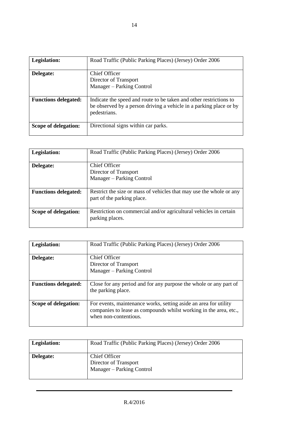| Legislation:                | Road Traffic (Public Parking Places) (Jersey) Order 2006                                                                                                 |
|-----------------------------|----------------------------------------------------------------------------------------------------------------------------------------------------------|
| Delegate:                   | Chief Officer<br>Director of Transport<br>Manager – Parking Control                                                                                      |
| <b>Functions delegated:</b> | Indicate the speed and route to be taken and other restrictions to<br>be observed by a person driving a vehicle in a parking place or by<br>pedestrians. |
| Scope of delegation:        | Directional signs within car parks.                                                                                                                      |

| Legislation:                | Road Traffic (Public Parking Places) (Jersey) Order 2006                                          |
|-----------------------------|---------------------------------------------------------------------------------------------------|
| Delegate:                   | Chief Officer<br>Director of Transport<br>Manager – Parking Control                               |
| <b>Functions delegated:</b> | Restrict the size or mass of vehicles that may use the whole or any<br>part of the parking place. |
| Scope of delegation:        | Restriction on commercial and/or agricultural vehicles in certain<br>parking places.              |

| Legislation:                | Road Traffic (Public Parking Places) (Jersey) Order 2006                                                                                                       |
|-----------------------------|----------------------------------------------------------------------------------------------------------------------------------------------------------------|
| Delegate:                   | <b>Chief Officer</b><br>Director of Transport<br>Manager – Parking Control                                                                                     |
| <b>Functions delegated:</b> | Close for any period and for any purpose the whole or any part of<br>the parking place.                                                                        |
| Scope of delegation:        | For events, maintenance works, setting aside an area for utility<br>companies to lease as compounds whilst working in the area, etc.,<br>when non-contentious. |

| <b>Legislation:</b> | Road Traffic (Public Parking Places) (Jersey) Order 2006            |
|---------------------|---------------------------------------------------------------------|
| Delegate:           | Chief Officer<br>Director of Transport<br>Manager – Parking Control |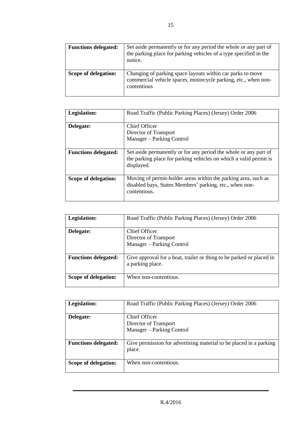| <b>Functions delegated:</b> | Set aside permanently or for any period the whole or any part of<br>the parking place for parking vehicles of a type specified in the<br>notice. |
|-----------------------------|--------------------------------------------------------------------------------------------------------------------------------------------------|
| Scope of delegation:        | Changing of parking space layouts within car parks to move<br>commercial vehicle spaces, motorcycle parking, etc., when non-<br>contentious      |

| Legislation:                | Road Traffic (Public Parking Places) (Jersey) Order 2006                                                                                            |
|-----------------------------|-----------------------------------------------------------------------------------------------------------------------------------------------------|
| Delegate:                   | Chief Officer<br>Director of Transport<br>Manager – Parking Control                                                                                 |
| <b>Functions delegated:</b> | Set aside permanently or for any period the whole or any part of<br>the parking place for parking vehicles on which a valid permit is<br>displayed. |
| Scope of delegation:        | Moving of permit-holder areas within the parking area, such as<br>disabled bays, States Members' parking, etc., when non-<br>contentious.           |

| Legislation:                | Road Traffic (Public Parking Places) (Jersey) Order 2006                                 |
|-----------------------------|------------------------------------------------------------------------------------------|
| Delegate:                   | Chief Officer<br>Director of Transport<br>Manager – Parking Control                      |
| <b>Functions delegated:</b> | Give approval for a boat, trailer or thing to be parked or placed in<br>a parking place. |
| Scope of delegation:        | When non-contentious.                                                                    |

| Legislation:                | Road Traffic (Public Parking Places) (Jersey) Order 2006                     |
|-----------------------------|------------------------------------------------------------------------------|
| Delegate:                   | <b>Chief Officer</b><br>Director of Transport<br>Manager – Parking Control   |
| <b>Functions delegated:</b> | Give permission for advertising material to be placed in a parking<br>place. |
| Scope of delegation:        | When non-contentious.                                                        |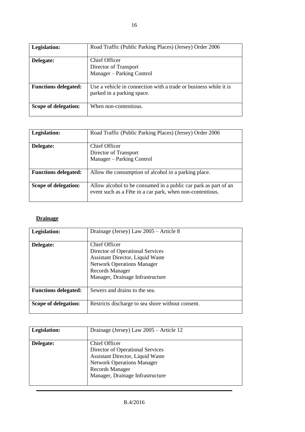| Legislation:                | Road Traffic (Public Parking Places) (Jersey) Order 2006                                       |
|-----------------------------|------------------------------------------------------------------------------------------------|
| Delegate:                   | Chief Officer<br>Director of Transport<br>Manager – Parking Control                            |
| <b>Functions delegated:</b> | Use a vehicle in connection with a trade or business while it is<br>parked in a parking space. |
| Scope of delegation:        | When non-contentious.                                                                          |

| Legislation:                | Road Traffic (Public Parking Places) (Jersey) Order 2006                                                                     |
|-----------------------------|------------------------------------------------------------------------------------------------------------------------------|
| Delegate:                   | Chief Officer<br>Director of Transport<br>Manager – Parking Control                                                          |
| <b>Functions delegated:</b> | Allow the consumption of alcohol in a parking place.                                                                         |
| Scope of delegation:        | Allow alcohol to be consumed in a public car park as part of an<br>event such as a Fête in a car park, when non-contentious. |

# **Drainage**

| Legislation:                | Drainage (Jersey) Law 2005 – Article 8                                                                                                                                                   |
|-----------------------------|------------------------------------------------------------------------------------------------------------------------------------------------------------------------------------------|
| Delegate:                   | Chief Officer<br>Director of Operational Services<br>Assistant Director, Liquid Waste<br><b>Network Operations Manager</b><br><b>Records Manager</b><br>Manager, Drainage Infrastructure |
| <b>Functions delegated:</b> | Sewers and drains to the sea.                                                                                                                                                            |
| Scope of delegation:        | Restricts discharge to sea shore without consent.                                                                                                                                        |

| Legislation: | Drainage (Jersey) Law 2005 – Article 12                                                                                                                                                         |
|--------------|-------------------------------------------------------------------------------------------------------------------------------------------------------------------------------------------------|
| Delegate:    | Chief Officer<br>Director of Operational Services<br><b>Assistant Director, Liquid Waste</b><br><b>Network Operations Manager</b><br><b>Records Manager</b><br>Manager, Drainage Infrastructure |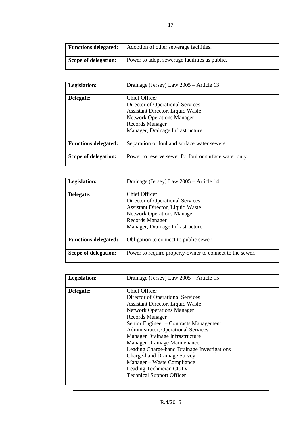| <b>Functions delegated:</b> | Adoption of other sewerage facilities.        |
|-----------------------------|-----------------------------------------------|
| Scope of delegation:        | Power to adopt sewerage facilities as public. |

| Legislation:                | Drainage (Jersey) Law 2005 – Article 13                                                                                                                                                  |
|-----------------------------|------------------------------------------------------------------------------------------------------------------------------------------------------------------------------------------|
| Delegate:                   | Chief Officer<br>Director of Operational Services<br>Assistant Director, Liquid Waste<br><b>Network Operations Manager</b><br><b>Records Manager</b><br>Manager, Drainage Infrastructure |
| <b>Functions delegated:</b> | Separation of foul and surface water sewers.                                                                                                                                             |
| Scope of delegation:        | Power to reserve sewer for foul or surface water only.                                                                                                                                   |

| Legislation:                | Drainage (Jersey) Law 2005 - Article 14                                                                                                                                                  |
|-----------------------------|------------------------------------------------------------------------------------------------------------------------------------------------------------------------------------------|
| Delegate:                   | Chief Officer<br>Director of Operational Services<br>Assistant Director, Liquid Waste<br><b>Network Operations Manager</b><br><b>Records Manager</b><br>Manager, Drainage Infrastructure |
| <b>Functions delegated:</b> | Obligation to connect to public sewer.                                                                                                                                                   |
| Scope of delegation:        | Power to require property-owner to connect to the sewer.                                                                                                                                 |

| Legislation: | Drainage (Jersey) Law 2005 – Article 15                                                                                                                                                                                                                                                                                                                                                                                                                                                           |
|--------------|---------------------------------------------------------------------------------------------------------------------------------------------------------------------------------------------------------------------------------------------------------------------------------------------------------------------------------------------------------------------------------------------------------------------------------------------------------------------------------------------------|
| Delegate:    | Chief Officer<br>Director of Operational Services<br><b>Assistant Director, Liquid Waste</b><br><b>Network Operations Manager</b><br><b>Records Manager</b><br>Senior Engineer - Contracts Management<br>Administrator, Operational Services<br>Manager Drainage Infrastructure<br>Manager Drainage Maintenance<br>Leading Charge-hand Drainage Investigations<br><b>Charge-hand Drainage Survey</b><br>Manager – Waste Compliance<br>Leading Technician CCTV<br><b>Technical Support Officer</b> |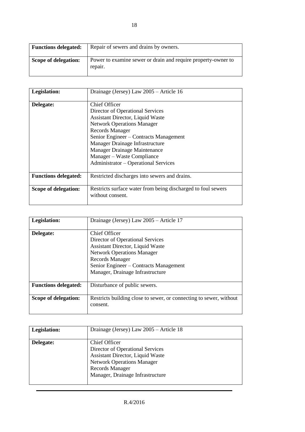| <b>Functions delegated:</b> | Repair of sewers and drains by owners.                                   |
|-----------------------------|--------------------------------------------------------------------------|
| Scope of delegation:        | Power to examine sewer or drain and require property-owner to<br>repair. |

| Legislation:                | Drainage (Jersey) Law 2005 – Article 16                                                                                                                                                                                                                                                                                                 |
|-----------------------------|-----------------------------------------------------------------------------------------------------------------------------------------------------------------------------------------------------------------------------------------------------------------------------------------------------------------------------------------|
| Delegate:                   | Chief Officer<br>Director of Operational Services<br>Assistant Director, Liquid Waste<br><b>Network Operations Manager</b><br><b>Records Manager</b><br>Senior Engineer - Contracts Management<br>Manager Drainage Infrastructure<br>Manager Drainage Maintenance<br>Manager – Waste Compliance<br>Administrator – Operational Services |
| <b>Functions delegated:</b> | Restricted discharges into sewers and drains.                                                                                                                                                                                                                                                                                           |
| Scope of delegation:        | Restricts surface water from being discharged to foul sewers<br>without consent.                                                                                                                                                                                                                                                        |

| Legislation:                | Drainage (Jersey) Law 2005 - Article 17                                                                                                                                                                                                   |
|-----------------------------|-------------------------------------------------------------------------------------------------------------------------------------------------------------------------------------------------------------------------------------------|
| Delegate:                   | Chief Officer<br>Director of Operational Services<br><b>Assistant Director, Liquid Waste</b><br><b>Network Operations Manager</b><br><b>Records Manager</b><br>Senior Engineer - Contracts Management<br>Manager, Drainage Infrastructure |
| <b>Functions delegated:</b> | Disturbance of public sewers.                                                                                                                                                                                                             |
| Scope of delegation:        | Restricts building close to sewer, or connecting to sewer, without<br>consent.                                                                                                                                                            |

| Legislation: | Drainage (Jersey) Law 2005 – Article 18                                                                                                                                                  |
|--------------|------------------------------------------------------------------------------------------------------------------------------------------------------------------------------------------|
| Delegate:    | Chief Officer<br>Director of Operational Services<br>Assistant Director, Liquid Waste<br><b>Network Operations Manager</b><br><b>Records Manager</b><br>Manager, Drainage Infrastructure |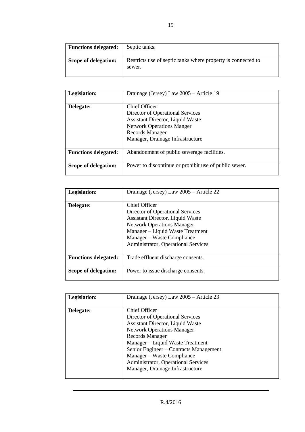| <b>Functions delegated:</b> | Septic tanks.                                                          |
|-----------------------------|------------------------------------------------------------------------|
| Scope of delegation:        | Restricts use of septic tanks where property is connected to<br>sewer. |

| Legislation:                | Drainage (Jersey) Law 2005 – Article 19               |
|-----------------------------|-------------------------------------------------------|
|                             |                                                       |
| Delegate:                   | Chief Officer                                         |
|                             | Director of Operational Services                      |
|                             | Assistant Director, Liquid Waste                      |
|                             | <b>Network Operations Manger</b>                      |
|                             | Records Manager                                       |
|                             | Manager, Drainage Infrastructure                      |
|                             |                                                       |
| <b>Functions delegated:</b> | Abandonment of public sewerage facilities.            |
| Scope of delegation:        | Power to discontinue or prohibit use of public sewer. |
|                             |                                                       |

| Legislation:                | Drainage (Jersey) Law 2005 – Article 22                                                                                                                                                                                                    |
|-----------------------------|--------------------------------------------------------------------------------------------------------------------------------------------------------------------------------------------------------------------------------------------|
| Delegate:                   | <b>Chief Officer</b><br>Director of Operational Services<br>Assistant Director, Liquid Waste<br><b>Network Operations Manager</b><br>Manager – Liquid Waste Treatment<br>Manager – Waste Compliance<br>Administrator, Operational Services |
| <b>Functions delegated:</b> | Trade effluent discharge consents.                                                                                                                                                                                                         |
| Scope of delegation:        | Power to issue discharge consents.                                                                                                                                                                                                         |

| Legislation: | Drainage (Jersey) Law 2005 - Article 23 |
|--------------|-----------------------------------------|
|              |                                         |
| Delegate:    | <b>Chief Officer</b>                    |
|              | Director of Operational Services        |
|              | Assistant Director, Liquid Waste        |
|              | <b>Network Operations Manager</b>       |
|              | Records Manager                         |
|              | Manager – Liquid Waste Treatment        |
|              | Senior Engineer - Contracts Management  |
|              | Manager – Waste Compliance              |
|              | Administrator, Operational Services     |
|              | Manager, Drainage Infrastructure        |
|              |                                         |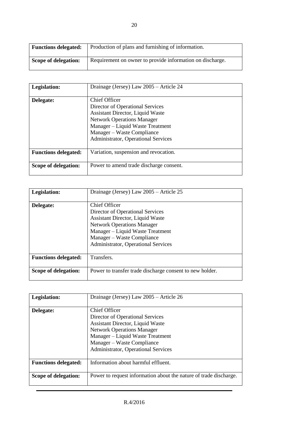| <b>Functions delegated:</b> | Production of plans and furnishing of information.        |
|-----------------------------|-----------------------------------------------------------|
| Scope of delegation:        | Requirement on owner to provide information on discharge. |

| Legislation:                | Drainage (Jersey) Law 2005 - Article 24                                                                                                                                                                                             |
|-----------------------------|-------------------------------------------------------------------------------------------------------------------------------------------------------------------------------------------------------------------------------------|
| Delegate:                   | Chief Officer<br>Director of Operational Services<br>Assistant Director, Liquid Waste<br><b>Network Operations Manager</b><br>Manager - Liquid Waste Treatment<br>Manager – Waste Compliance<br>Administrator, Operational Services |
| <b>Functions delegated:</b> | Variation, suspension and revocation.                                                                                                                                                                                               |
| Scope of delegation:        | Power to amend trade discharge consent.                                                                                                                                                                                             |

| Legislation:                | Drainage (Jersey) Law 2005 – Article 25                                                                                                                                                                                             |
|-----------------------------|-------------------------------------------------------------------------------------------------------------------------------------------------------------------------------------------------------------------------------------|
| Delegate:                   | Chief Officer<br>Director of Operational Services<br>Assistant Director, Liquid Waste<br><b>Network Operations Manager</b><br>Manager – Liquid Waste Treatment<br>Manager – Waste Compliance<br>Administrator, Operational Services |
| <b>Functions delegated:</b> | Transfers.                                                                                                                                                                                                                          |
| Scope of delegation:        | Power to transfer trade discharge consent to new holder.                                                                                                                                                                            |

| Legislation:                | Drainage (Jersey) Law 2005 - Article 26                                                                                                                                                                                                    |
|-----------------------------|--------------------------------------------------------------------------------------------------------------------------------------------------------------------------------------------------------------------------------------------|
| Delegate:                   | Chief Officer<br>Director of Operational Services<br><b>Assistant Director, Liquid Waste</b><br><b>Network Operations Manager</b><br>Manager – Liquid Waste Treatment<br>Manager - Waste Compliance<br>Administrator, Operational Services |
| <b>Functions delegated:</b> | Information about harmful effluent.                                                                                                                                                                                                        |
| Scope of delegation:        | Power to request information about the nature of trade discharge.                                                                                                                                                                          |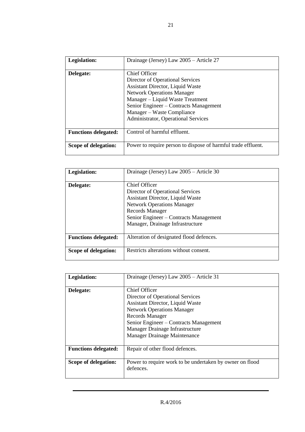| Legislation:                | Drainage (Jersey) Law 2005 – Article 27                                                                                                                                                                                                                                              |
|-----------------------------|--------------------------------------------------------------------------------------------------------------------------------------------------------------------------------------------------------------------------------------------------------------------------------------|
| Delegate:                   | Chief Officer<br>Director of Operational Services<br>Assistant Director, Liquid Waste<br><b>Network Operations Manager</b><br>Manager – Liquid Waste Treatment<br>Senior Engineer - Contracts Management<br>Manager – Waste Compliance<br><b>Administrator, Operational Services</b> |
| <b>Functions delegated:</b> | Control of harmful effluent.                                                                                                                                                                                                                                                         |
| Scope of delegation:        | Power to require person to dispose of harmful trade effluent.                                                                                                                                                                                                                        |

| Legislation:                | Drainage (Jersey) Law 2005 - Article 30                                                                                                                                                                                            |
|-----------------------------|------------------------------------------------------------------------------------------------------------------------------------------------------------------------------------------------------------------------------------|
| Delegate:                   | Chief Officer<br>Director of Operational Services<br>Assistant Director, Liquid Waste<br><b>Network Operations Manager</b><br><b>Records Manager</b><br>Senior Engineer - Contracts Management<br>Manager, Drainage Infrastructure |
| <b>Functions delegated:</b> | Alteration of designated flood defences.                                                                                                                                                                                           |
| Scope of delegation:        | Restricts alterations without consent.                                                                                                                                                                                             |

| Legislation:                | Drainage (Jersey) Law 2005 - Article 31                                                                                                                                                                                                                    |
|-----------------------------|------------------------------------------------------------------------------------------------------------------------------------------------------------------------------------------------------------------------------------------------------------|
| Delegate:                   | Chief Officer<br>Director of Operational Services<br>Assistant Director, Liquid Waste<br><b>Network Operations Manager</b><br>Records Manager<br>Senior Engineer – Contracts Management<br>Manager Drainage Infrastructure<br>Manager Drainage Maintenance |
| <b>Functions delegated:</b> | Repair of other flood defences.                                                                                                                                                                                                                            |
| Scope of delegation:        | Power to require work to be undertaken by owner on flood<br>defences.                                                                                                                                                                                      |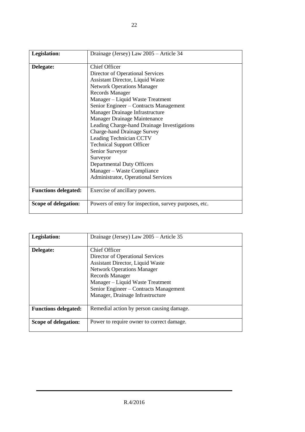| Legislation:                | Drainage (Jersey) Law 2005 - Article 34                                                                                                                                                                                                                                                                                                                                                                                                                                                                                              |
|-----------------------------|--------------------------------------------------------------------------------------------------------------------------------------------------------------------------------------------------------------------------------------------------------------------------------------------------------------------------------------------------------------------------------------------------------------------------------------------------------------------------------------------------------------------------------------|
| Delegate:                   | Chief Officer<br>Director of Operational Services<br><b>Assistant Director, Liquid Waste</b><br><b>Network Operations Manager</b><br><b>Records Manager</b><br>Manager - Liquid Waste Treatment<br>Senior Engineer – Contracts Management<br>Manager Drainage Infrastructure<br>Manager Drainage Maintenance<br>Leading Charge-hand Drainage Investigations<br><b>Charge-hand Drainage Survey</b><br>Leading Technician CCTV<br><b>Technical Support Officer</b><br>Senior Surveyor<br>Surveyor<br><b>Departmental Duty Officers</b> |
|                             | Manager - Waste Compliance<br>Administrator, Operational Services                                                                                                                                                                                                                                                                                                                                                                                                                                                                    |
| <b>Functions delegated:</b> | Exercise of ancillary powers.                                                                                                                                                                                                                                                                                                                                                                                                                                                                                                        |
| Scope of delegation:        | Powers of entry for inspection, survey purposes, etc.                                                                                                                                                                                                                                                                                                                                                                                                                                                                                |

| Legislation:                | Drainage (Jersey) Law 2005 – Article 35                                                                                                                                                                                                                                       |
|-----------------------------|-------------------------------------------------------------------------------------------------------------------------------------------------------------------------------------------------------------------------------------------------------------------------------|
| Delegate:                   | Chief Officer<br>Director of Operational Services<br><b>Assistant Director, Liquid Waste</b><br><b>Network Operations Manager</b><br><b>Records Manager</b><br>Manager – Liquid Waste Treatment<br>Senior Engineer - Contracts Management<br>Manager, Drainage Infrastructure |
| <b>Functions delegated:</b> | Remedial action by person causing damage.                                                                                                                                                                                                                                     |
| Scope of delegation:        | Power to require owner to correct damage.                                                                                                                                                                                                                                     |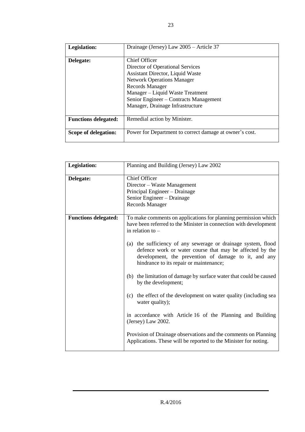| Legislation:                | Drainage (Jersey) Law 2005 - Article 37                                                                                                                                                                                                                                       |
|-----------------------------|-------------------------------------------------------------------------------------------------------------------------------------------------------------------------------------------------------------------------------------------------------------------------------|
| Delegate:                   | <b>Chief Officer</b><br>Director of Operational Services<br>Assistant Director, Liquid Waste<br><b>Network Operations Manager</b><br><b>Records Manager</b><br>Manager – Liquid Waste Treatment<br>Senior Engineer – Contracts Management<br>Manager, Drainage Infrastructure |
| <b>Functions delegated:</b> | Remedial action by Minister.                                                                                                                                                                                                                                                  |
| Scope of delegation:        | Power for Department to correct damage at owner's cost.                                                                                                                                                                                                                       |

| Legislation:                | Planning and Building (Jersey) Law 2002                                                                                                                                                                                                                                                                                                                                                                                                                                                                                                                                                                                                                                                                                                                                                                   |
|-----------------------------|-----------------------------------------------------------------------------------------------------------------------------------------------------------------------------------------------------------------------------------------------------------------------------------------------------------------------------------------------------------------------------------------------------------------------------------------------------------------------------------------------------------------------------------------------------------------------------------------------------------------------------------------------------------------------------------------------------------------------------------------------------------------------------------------------------------|
| Delegate:                   | <b>Chief Officer</b><br>Director - Waste Management<br>Principal Engineer - Drainage<br>Senior Engineer - Drainage<br><b>Records Manager</b>                                                                                                                                                                                                                                                                                                                                                                                                                                                                                                                                                                                                                                                              |
| <b>Functions delegated:</b> | To make comments on applications for planning permission which<br>have been referred to the Minister in connection with development<br>in relation to $-$<br>(a) the sufficiency of any sewerage or drainage system, flood<br>defence work or water course that may be affected by the<br>development, the prevention of damage to it, and any<br>hindrance to its repair or maintenance;<br>(b) the limitation of damage by surface water that could be caused<br>by the development;<br>(c) the effect of the development on water quality (including sea<br>water quality);<br>in accordance with Article 16 of the Planning and Building<br>(Jersey) Law 2002.<br>Provision of Drainage observations and the comments on Planning<br>Applications. These will be reported to the Minister for noting. |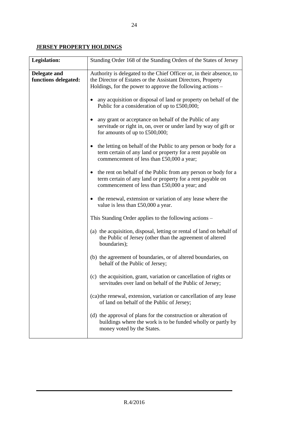## **JERSEY PROPERTY HOLDINGS**

| Legislation:                         | Standing Order 168 of the Standing Orders of the States of Jersey                                                                                                                                  |
|--------------------------------------|----------------------------------------------------------------------------------------------------------------------------------------------------------------------------------------------------|
| Delegate and<br>functions delegated: | Authority is delegated to the Chief Officer or, in their absence, to<br>the Director of Estates or the Assistant Directors, Property<br>Holdings, for the power to approve the following actions – |
|                                      | any acquisition or disposal of land or property on behalf of the<br>Public for a consideration of up to £500,000;                                                                                  |
|                                      | any grant or acceptance on behalf of the Public of any<br>servitude or right in, on, over or under land by way of gift or<br>for amounts of up to $£500,000;$                                      |
|                                      | the letting on behalf of the Public to any person or body for a<br>$\bullet$<br>term certain of any land or property for a rent payable on<br>commencement of less than £50,000 a year;            |
|                                      | the rent on behalf of the Public from any person or body for a<br>$\bullet$<br>term certain of any land or property for a rent payable on<br>commencement of less than £50,000 a year; and         |
|                                      | • the renewal, extension or variation of any lease where the<br>value is less than £50,000 a year.                                                                                                 |
|                                      | This Standing Order applies to the following actions –                                                                                                                                             |
|                                      | (a) the acquisition, disposal, letting or rental of land on behalf of<br>the Public of Jersey (other than the agreement of altered<br>boundaries);                                                 |
|                                      | (b) the agreement of boundaries, or of altered boundaries, on<br>behalf of the Public of Jersey;                                                                                                   |
|                                      | (c) the acquisition, grant, variation or cancellation of rights or<br>servitudes over land on behalf of the Public of Jersey;                                                                      |
|                                      | (ca) the renewal, extension, variation or cancellation of any lease<br>of land on behalf of the Public of Jersey;                                                                                  |
|                                      | (d) the approval of plans for the construction or alteration of<br>buildings where the work is to be funded wholly or partly by<br>money voted by the States.                                      |